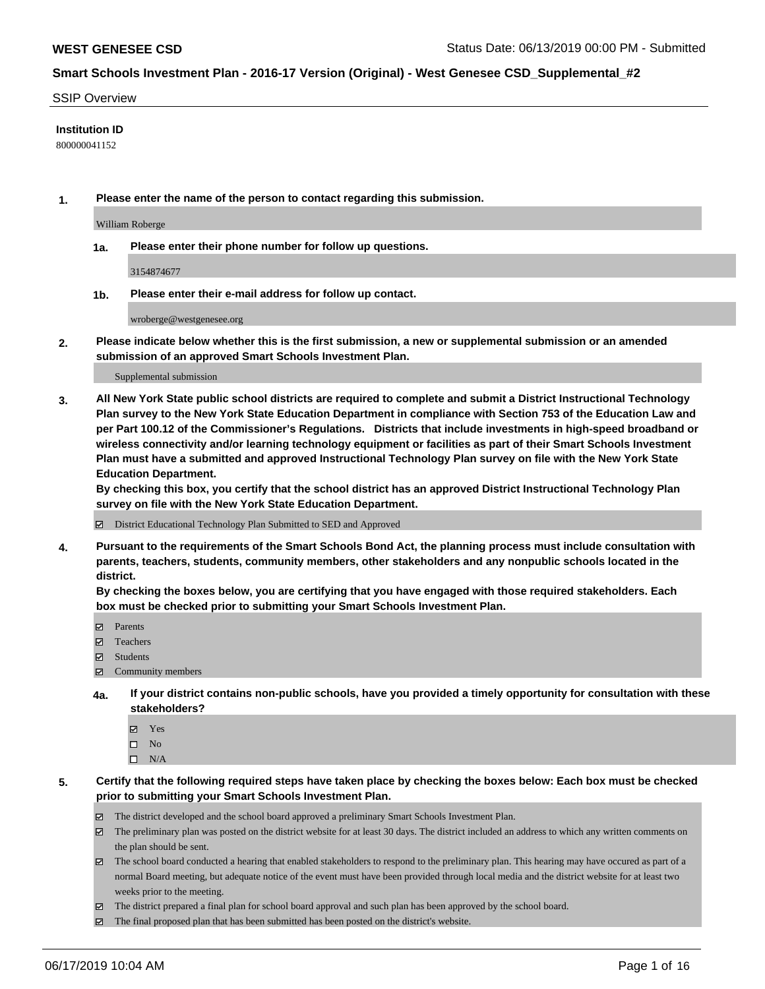#### SSIP Overview

### **Institution ID**

800000041152

**1. Please enter the name of the person to contact regarding this submission.**

William Roberge

**1a. Please enter their phone number for follow up questions.**

3154874677

**1b. Please enter their e-mail address for follow up contact.**

wroberge@westgenesee.org

**2. Please indicate below whether this is the first submission, a new or supplemental submission or an amended submission of an approved Smart Schools Investment Plan.**

#### Supplemental submission

**3. All New York State public school districts are required to complete and submit a District Instructional Technology Plan survey to the New York State Education Department in compliance with Section 753 of the Education Law and per Part 100.12 of the Commissioner's Regulations. Districts that include investments in high-speed broadband or wireless connectivity and/or learning technology equipment or facilities as part of their Smart Schools Investment Plan must have a submitted and approved Instructional Technology Plan survey on file with the New York State Education Department.** 

**By checking this box, you certify that the school district has an approved District Instructional Technology Plan survey on file with the New York State Education Department.**

District Educational Technology Plan Submitted to SED and Approved

**4. Pursuant to the requirements of the Smart Schools Bond Act, the planning process must include consultation with parents, teachers, students, community members, other stakeholders and any nonpublic schools located in the district.** 

**By checking the boxes below, you are certifying that you have engaged with those required stakeholders. Each box must be checked prior to submitting your Smart Schools Investment Plan.**

- Parents
- Teachers
- Students
- Community members
- **4a. If your district contains non-public schools, have you provided a timely opportunity for consultation with these stakeholders?**
	- Yes
	- $\square$  No
	- $\square$  N/A
- **5. Certify that the following required steps have taken place by checking the boxes below: Each box must be checked prior to submitting your Smart Schools Investment Plan.**
	- The district developed and the school board approved a preliminary Smart Schools Investment Plan.
	- $\boxtimes$  The preliminary plan was posted on the district website for at least 30 days. The district included an address to which any written comments on the plan should be sent.
	- $\boxtimes$  The school board conducted a hearing that enabled stakeholders to respond to the preliminary plan. This hearing may have occured as part of a normal Board meeting, but adequate notice of the event must have been provided through local media and the district website for at least two weeks prior to the meeting.
	- The district prepared a final plan for school board approval and such plan has been approved by the school board.
	- $\boxtimes$  The final proposed plan that has been submitted has been posted on the district's website.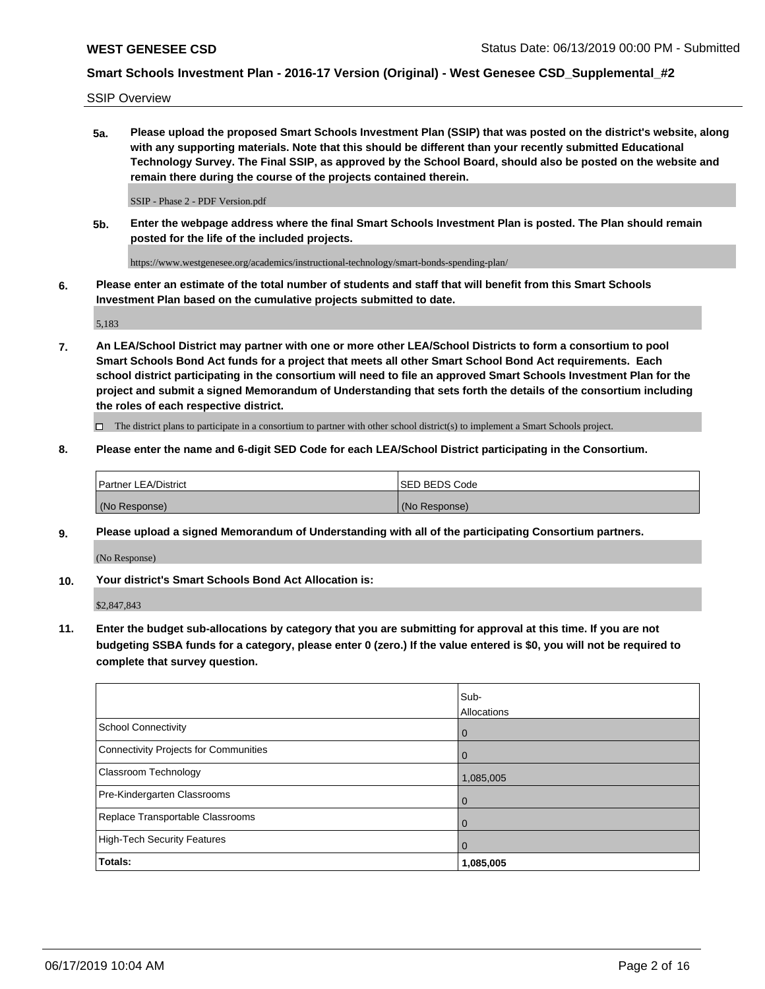SSIP Overview

**5a. Please upload the proposed Smart Schools Investment Plan (SSIP) that was posted on the district's website, along with any supporting materials. Note that this should be different than your recently submitted Educational Technology Survey. The Final SSIP, as approved by the School Board, should also be posted on the website and remain there during the course of the projects contained therein.**

SSIP - Phase 2 - PDF Version.pdf

**5b. Enter the webpage address where the final Smart Schools Investment Plan is posted. The Plan should remain posted for the life of the included projects.**

https://www.westgenesee.org/academics/instructional-technology/smart-bonds-spending-plan/

**6. Please enter an estimate of the total number of students and staff that will benefit from this Smart Schools Investment Plan based on the cumulative projects submitted to date.**

5,183

**7. An LEA/School District may partner with one or more other LEA/School Districts to form a consortium to pool Smart Schools Bond Act funds for a project that meets all other Smart School Bond Act requirements. Each school district participating in the consortium will need to file an approved Smart Schools Investment Plan for the project and submit a signed Memorandum of Understanding that sets forth the details of the consortium including the roles of each respective district.**

 $\Box$  The district plans to participate in a consortium to partner with other school district(s) to implement a Smart Schools project.

## **8. Please enter the name and 6-digit SED Code for each LEA/School District participating in the Consortium.**

| Partner LEA/District | <b>ISED BEDS Code</b> |
|----------------------|-----------------------|
| (No Response)        | (No Response)         |

#### **9. Please upload a signed Memorandum of Understanding with all of the participating Consortium partners.**

(No Response)

**10. Your district's Smart Schools Bond Act Allocation is:**

\$2,847,843

**11. Enter the budget sub-allocations by category that you are submitting for approval at this time. If you are not budgeting SSBA funds for a category, please enter 0 (zero.) If the value entered is \$0, you will not be required to complete that survey question.**

|                                       | Sub-<br>Allocations |
|---------------------------------------|---------------------|
| <b>School Connectivity</b>            | $\mathbf 0$         |
| Connectivity Projects for Communities | $\Omega$            |
| Classroom Technology                  | 1,085,005           |
| Pre-Kindergarten Classrooms           | 0                   |
| Replace Transportable Classrooms      | 0                   |
| High-Tech Security Features           | $\Omega$            |
| Totals:                               | 1,085,005           |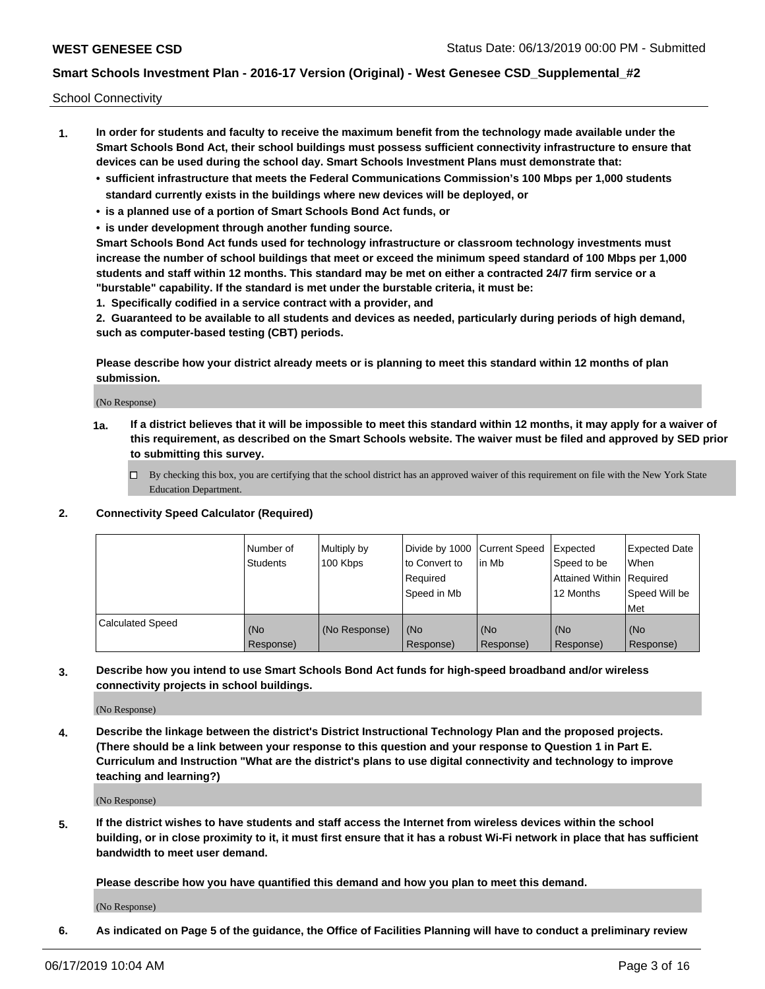School Connectivity

- **1. In order for students and faculty to receive the maximum benefit from the technology made available under the Smart Schools Bond Act, their school buildings must possess sufficient connectivity infrastructure to ensure that devices can be used during the school day. Smart Schools Investment Plans must demonstrate that:**
	- **• sufficient infrastructure that meets the Federal Communications Commission's 100 Mbps per 1,000 students standard currently exists in the buildings where new devices will be deployed, or**
	- **• is a planned use of a portion of Smart Schools Bond Act funds, or**
	- **• is under development through another funding source.**

**Smart Schools Bond Act funds used for technology infrastructure or classroom technology investments must increase the number of school buildings that meet or exceed the minimum speed standard of 100 Mbps per 1,000 students and staff within 12 months. This standard may be met on either a contracted 24/7 firm service or a "burstable" capability. If the standard is met under the burstable criteria, it must be:**

**1. Specifically codified in a service contract with a provider, and**

**2. Guaranteed to be available to all students and devices as needed, particularly during periods of high demand, such as computer-based testing (CBT) periods.**

**Please describe how your district already meets or is planning to meet this standard within 12 months of plan submission.**

(No Response)

**1a. If a district believes that it will be impossible to meet this standard within 12 months, it may apply for a waiver of this requirement, as described on the Smart Schools website. The waiver must be filed and approved by SED prior to submitting this survey.**

 $\Box$  By checking this box, you are certifying that the school district has an approved waiver of this requirement on file with the New York State Education Department.

#### **2. Connectivity Speed Calculator (Required)**

|                         | Number of<br><b>Students</b> | Multiply by<br>100 Kbps | Divide by 1000 Current Speed<br>to Convert to<br>Required<br>l Speed in Mb | lin Mb           | Expected<br>Speed to be<br>Attained Within   Required<br>12 Months | <b>Expected Date</b><br>When<br>Speed Will be<br>Met |
|-------------------------|------------------------------|-------------------------|----------------------------------------------------------------------------|------------------|--------------------------------------------------------------------|------------------------------------------------------|
| <b>Calculated Speed</b> | (No<br>Response)             | (No Response)           | (No<br>Response)                                                           | (No<br>Response) | (No<br>Response)                                                   | (No<br>Response)                                     |

**3. Describe how you intend to use Smart Schools Bond Act funds for high-speed broadband and/or wireless connectivity projects in school buildings.**

(No Response)

**4. Describe the linkage between the district's District Instructional Technology Plan and the proposed projects. (There should be a link between your response to this question and your response to Question 1 in Part E. Curriculum and Instruction "What are the district's plans to use digital connectivity and technology to improve teaching and learning?)**

(No Response)

**5. If the district wishes to have students and staff access the Internet from wireless devices within the school building, or in close proximity to it, it must first ensure that it has a robust Wi-Fi network in place that has sufficient bandwidth to meet user demand.**

**Please describe how you have quantified this demand and how you plan to meet this demand.**

(No Response)

**6. As indicated on Page 5 of the guidance, the Office of Facilities Planning will have to conduct a preliminary review**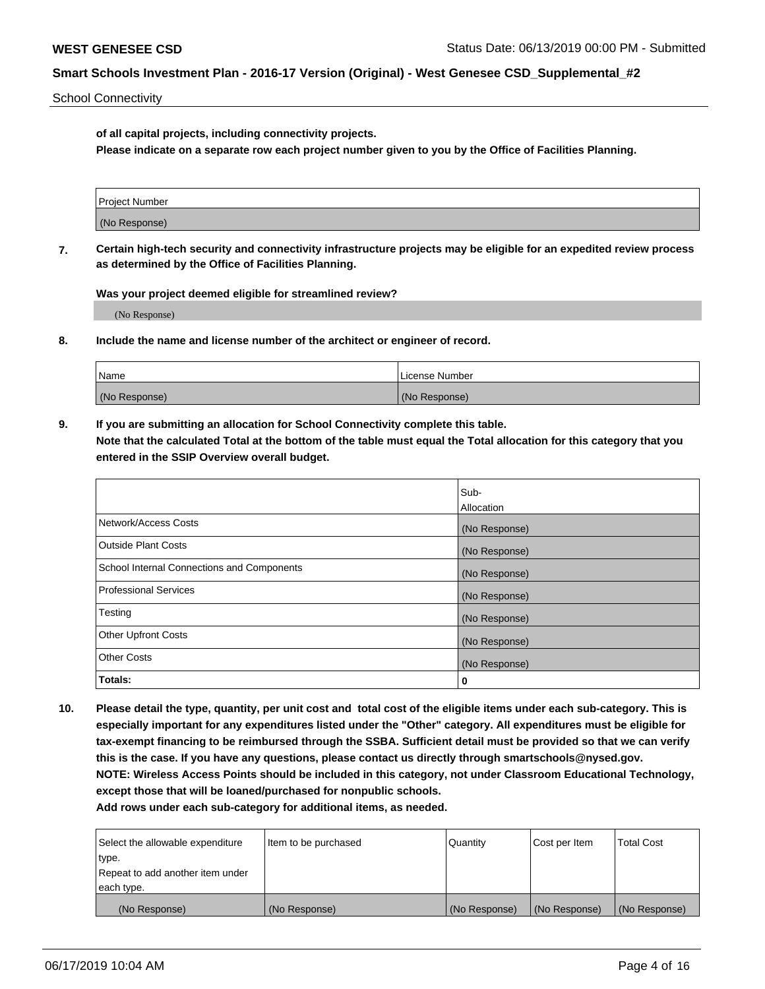School Connectivity

**of all capital projects, including connectivity projects.**

**Please indicate on a separate row each project number given to you by the Office of Facilities Planning.**

| Project Number |  |
|----------------|--|
|                |  |
| (No Response)  |  |
|                |  |

**7. Certain high-tech security and connectivity infrastructure projects may be eligible for an expedited review process as determined by the Office of Facilities Planning.**

**Was your project deemed eligible for streamlined review?**

(No Response)

**8. Include the name and license number of the architect or engineer of record.**

| Name          | License Number |
|---------------|----------------|
| (No Response) | (No Response)  |

**9. If you are submitting an allocation for School Connectivity complete this table. Note that the calculated Total at the bottom of the table must equal the Total allocation for this category that you entered in the SSIP Overview overall budget.** 

|                                            | Sub-          |
|--------------------------------------------|---------------|
|                                            | Allocation    |
| Network/Access Costs                       | (No Response) |
| Outside Plant Costs                        | (No Response) |
| School Internal Connections and Components | (No Response) |
| <b>Professional Services</b>               | (No Response) |
| Testing                                    | (No Response) |
| <b>Other Upfront Costs</b>                 | (No Response) |
| <b>Other Costs</b>                         | (No Response) |
| Totals:                                    | 0             |

**10. Please detail the type, quantity, per unit cost and total cost of the eligible items under each sub-category. This is especially important for any expenditures listed under the "Other" category. All expenditures must be eligible for tax-exempt financing to be reimbursed through the SSBA. Sufficient detail must be provided so that we can verify this is the case. If you have any questions, please contact us directly through smartschools@nysed.gov. NOTE: Wireless Access Points should be included in this category, not under Classroom Educational Technology, except those that will be loaned/purchased for nonpublic schools.**

| Select the allowable expenditure | Item to be purchased | Quantity      | <b>Cost per Item</b> | <b>Total Cost</b> |
|----------------------------------|----------------------|---------------|----------------------|-------------------|
| type.                            |                      |               |                      |                   |
| Repeat to add another item under |                      |               |                      |                   |
| each type.                       |                      |               |                      |                   |
| (No Response)                    | (No Response)        | (No Response) | (No Response)        | (No Response)     |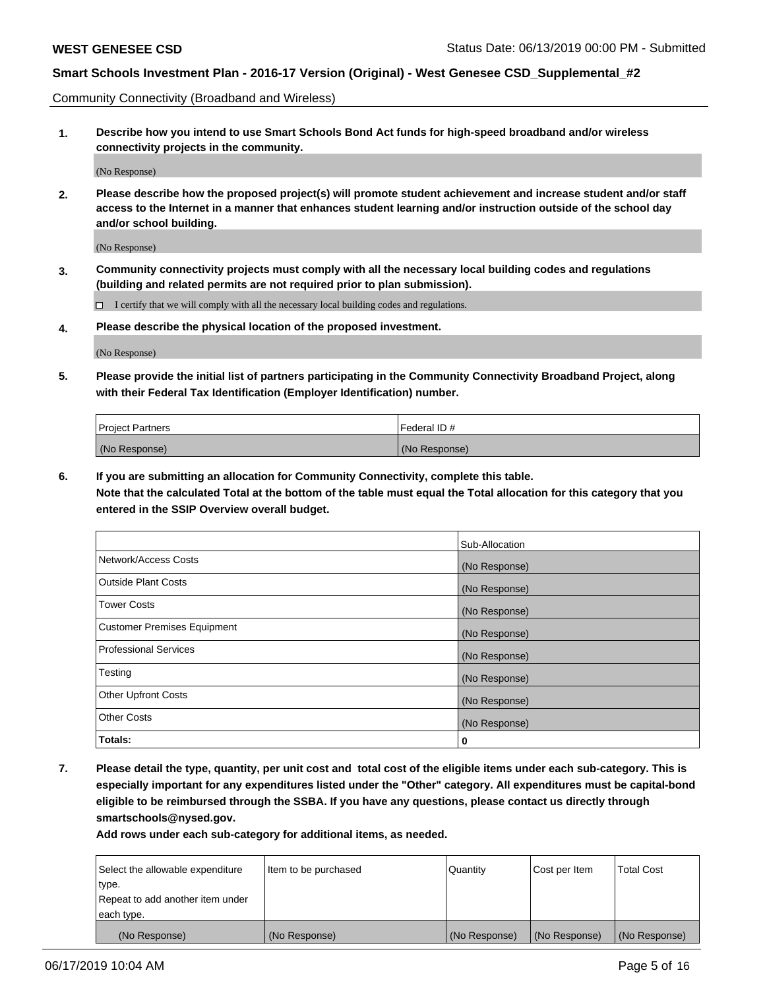Community Connectivity (Broadband and Wireless)

**1. Describe how you intend to use Smart Schools Bond Act funds for high-speed broadband and/or wireless connectivity projects in the community.**

(No Response)

**2. Please describe how the proposed project(s) will promote student achievement and increase student and/or staff access to the Internet in a manner that enhances student learning and/or instruction outside of the school day and/or school building.**

(No Response)

**3. Community connectivity projects must comply with all the necessary local building codes and regulations (building and related permits are not required prior to plan submission).**

 $\Box$  I certify that we will comply with all the necessary local building codes and regulations.

**4. Please describe the physical location of the proposed investment.**

(No Response)

**5. Please provide the initial list of partners participating in the Community Connectivity Broadband Project, along with their Federal Tax Identification (Employer Identification) number.**

| <b>Project Partners</b> | Federal ID#   |
|-------------------------|---------------|
| (No Response)           | (No Response) |

**6. If you are submitting an allocation for Community Connectivity, complete this table.**

**Note that the calculated Total at the bottom of the table must equal the Total allocation for this category that you entered in the SSIP Overview overall budget.**

|                                    | Sub-Allocation |
|------------------------------------|----------------|
| Network/Access Costs               | (No Response)  |
| <b>Outside Plant Costs</b>         | (No Response)  |
| <b>Tower Costs</b>                 | (No Response)  |
| <b>Customer Premises Equipment</b> | (No Response)  |
| <b>Professional Services</b>       | (No Response)  |
| Testing                            | (No Response)  |
| <b>Other Upfront Costs</b>         | (No Response)  |
| <b>Other Costs</b>                 | (No Response)  |
| Totals:                            | 0              |

**7. Please detail the type, quantity, per unit cost and total cost of the eligible items under each sub-category. This is especially important for any expenditures listed under the "Other" category. All expenditures must be capital-bond eligible to be reimbursed through the SSBA. If you have any questions, please contact us directly through smartschools@nysed.gov.**

| Select the allowable expenditure | Item to be purchased | Quantity      | Cost per Item | <b>Total Cost</b> |
|----------------------------------|----------------------|---------------|---------------|-------------------|
| type.                            |                      |               |               |                   |
| Repeat to add another item under |                      |               |               |                   |
| each type.                       |                      |               |               |                   |
| (No Response)                    | (No Response)        | (No Response) | (No Response) | (No Response)     |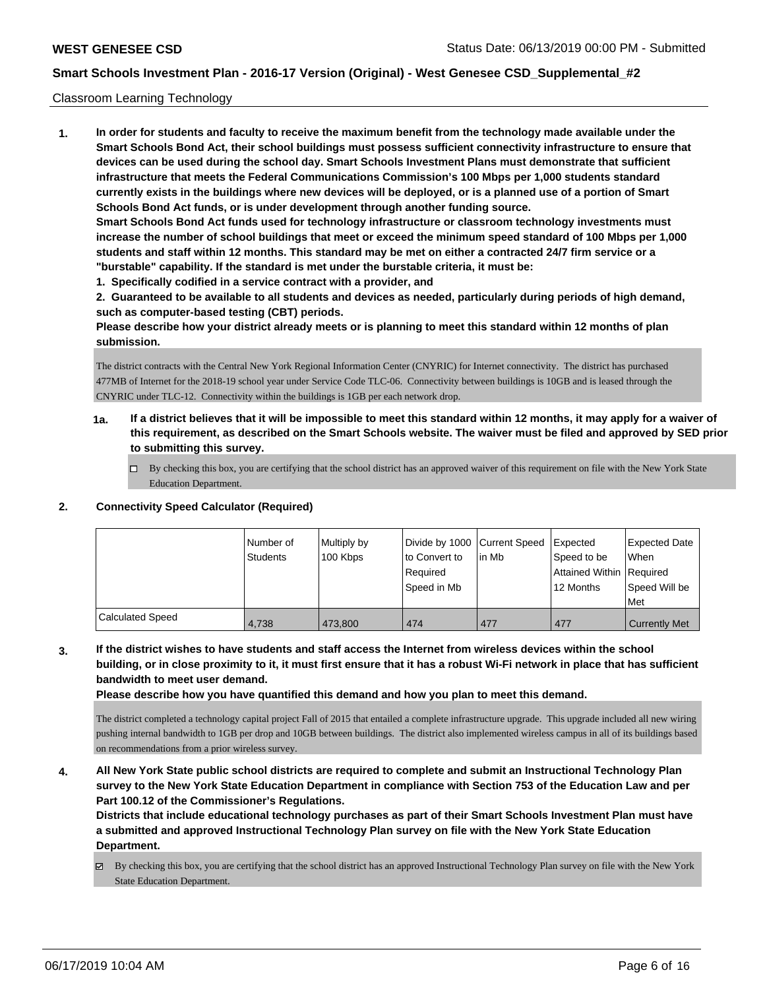### Classroom Learning Technology

**1. In order for students and faculty to receive the maximum benefit from the technology made available under the Smart Schools Bond Act, their school buildings must possess sufficient connectivity infrastructure to ensure that devices can be used during the school day. Smart Schools Investment Plans must demonstrate that sufficient infrastructure that meets the Federal Communications Commission's 100 Mbps per 1,000 students standard currently exists in the buildings where new devices will be deployed, or is a planned use of a portion of Smart Schools Bond Act funds, or is under development through another funding source. Smart Schools Bond Act funds used for technology infrastructure or classroom technology investments must increase the number of school buildings that meet or exceed the minimum speed standard of 100 Mbps per 1,000 students and staff within 12 months. This standard may be met on either a contracted 24/7 firm service or a "burstable" capability. If the standard is met under the burstable criteria, it must be:**

**1. Specifically codified in a service contract with a provider, and**

**2. Guaranteed to be available to all students and devices as needed, particularly during periods of high demand, such as computer-based testing (CBT) periods.**

**Please describe how your district already meets or is planning to meet this standard within 12 months of plan submission.**

The district contracts with the Central New York Regional Information Center (CNYRIC) for Internet connectivity. The district has purchased 477MB of Internet for the 2018-19 school year under Service Code TLC-06. Connectivity between buildings is 10GB and is leased through the CNYRIC under TLC-12. Connectivity within the buildings is 1GB per each network drop.

- **1a. If a district believes that it will be impossible to meet this standard within 12 months, it may apply for a waiver of this requirement, as described on the Smart Schools website. The waiver must be filed and approved by SED prior to submitting this survey.**
	- By checking this box, you are certifying that the school district has an approved waiver of this requirement on file with the New York State Education Department.

#### **2. Connectivity Speed Calculator (Required)**

|                  | l Number of<br><b>Students</b> | Multiply by<br>100 Kbps | Divide by 1000 Current Speed<br>to Convert to<br>Required<br>Speed in Mb | lin Mb | Expected<br>Speed to be<br>Attained Within   Required<br>12 Months | <b>Expected Date</b><br><b>When</b><br>Speed Will be<br>Met |
|------------------|--------------------------------|-------------------------|--------------------------------------------------------------------------|--------|--------------------------------------------------------------------|-------------------------------------------------------------|
| Calculated Speed | 4.738                          | 473.800                 | 474                                                                      | 477    | 477                                                                | <b>Currently Met</b>                                        |

**3. If the district wishes to have students and staff access the Internet from wireless devices within the school building, or in close proximity to it, it must first ensure that it has a robust Wi-Fi network in place that has sufficient bandwidth to meet user demand.**

**Please describe how you have quantified this demand and how you plan to meet this demand.**

The district completed a technology capital project Fall of 2015 that entailed a complete infrastructure upgrade. This upgrade included all new wiring pushing internal bandwidth to 1GB per drop and 10GB between buildings. The district also implemented wireless campus in all of its buildings based on recommendations from a prior wireless survey.

**4. All New York State public school districts are required to complete and submit an Instructional Technology Plan survey to the New York State Education Department in compliance with Section 753 of the Education Law and per Part 100.12 of the Commissioner's Regulations.**

**Districts that include educational technology purchases as part of their Smart Schools Investment Plan must have a submitted and approved Instructional Technology Plan survey on file with the New York State Education Department.**

By checking this box, you are certifying that the school district has an approved Instructional Technology Plan survey on file with the New York State Education Department.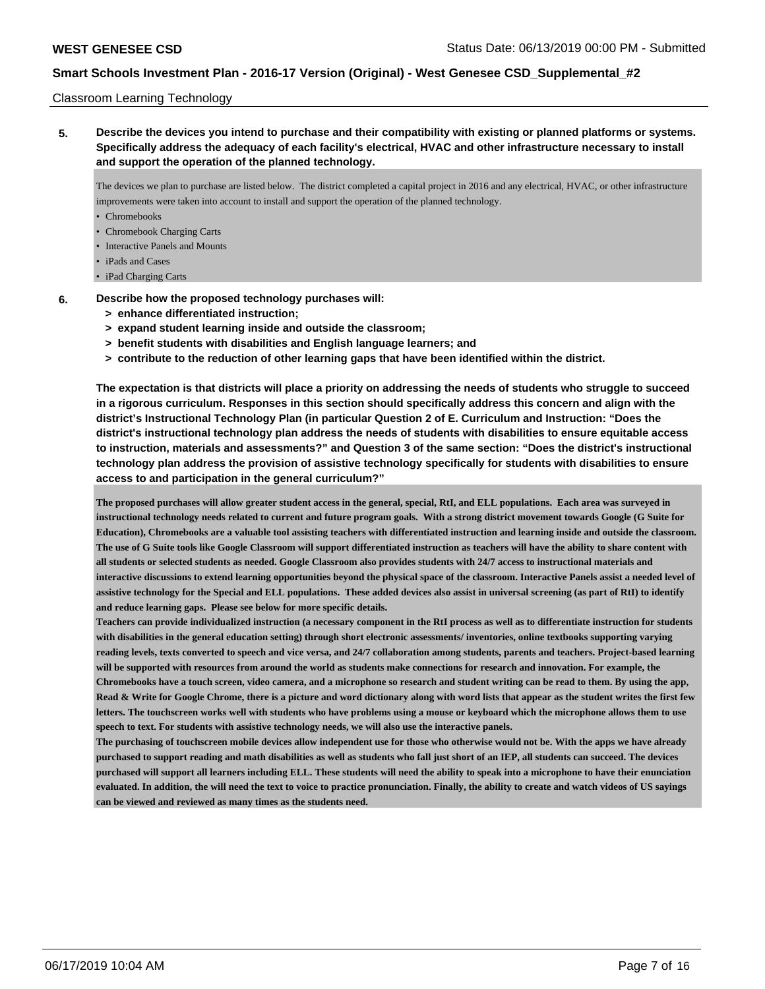### Classroom Learning Technology

**5. Describe the devices you intend to purchase and their compatibility with existing or planned platforms or systems. Specifically address the adequacy of each facility's electrical, HVAC and other infrastructure necessary to install and support the operation of the planned technology.**

The devices we plan to purchase are listed below. The district completed a capital project in 2016 and any electrical, HVAC, or other infrastructure improvements were taken into account to install and support the operation of the planned technology.

- Chromebooks
- Chromebook Charging Carts
- Interactive Panels and Mounts
- iPads and Cases
- iPad Charging Carts
- **6. Describe how the proposed technology purchases will:**
	- **> enhance differentiated instruction;**
	- **> expand student learning inside and outside the classroom;**
	- **> benefit students with disabilities and English language learners; and**
	- **> contribute to the reduction of other learning gaps that have been identified within the district.**

**The expectation is that districts will place a priority on addressing the needs of students who struggle to succeed in a rigorous curriculum. Responses in this section should specifically address this concern and align with the district's Instructional Technology Plan (in particular Question 2 of E. Curriculum and Instruction: "Does the district's instructional technology plan address the needs of students with disabilities to ensure equitable access to instruction, materials and assessments?" and Question 3 of the same section: "Does the district's instructional technology plan address the provision of assistive technology specifically for students with disabilities to ensure access to and participation in the general curriculum?"**

**The proposed purchases will allow greater student access in the general, special, RtI, and ELL populations. Each area was surveyed in instructional technology needs related to current and future program goals. With a strong district movement towards Google (G Suite for Education), Chromebooks are a valuable tool assisting teachers with differentiated instruction and learning inside and outside the classroom. The use of G Suite tools like Google Classroom will support differentiated instruction as teachers will have the ability to share content with all students or selected students as needed. Google Classroom also provides students with 24/7 access to instructional materials and interactive discussions to extend learning opportunities beyond the physical space of the classroom. Interactive Panels assist a needed level of assistive technology for the Special and ELL populations. These added devices also assist in universal screening (as part of RtI) to identify and reduce learning gaps. Please see below for more specific details.**

**Teachers can provide individualized instruction (a necessary component in the RtI process as well as to differentiate instruction for students with disabilities in the general education setting) through short electronic assessments/ inventories, online textbooks supporting varying reading levels, texts converted to speech and vice versa, and 24/7 collaboration among students, parents and teachers. Project-based learning will be supported with resources from around the world as students make connections for research and innovation. For example, the Chromebooks have a touch screen, video camera, and a microphone so research and student writing can be read to them. By using the app, Read & Write for Google Chrome, there is a picture and word dictionary along with word lists that appear as the student writes the first few letters. The touchscreen works well with students who have problems using a mouse or keyboard which the microphone allows them to use speech to text. For students with assistive technology needs, we will also use the interactive panels.**

**The purchasing of touchscreen mobile devices allow independent use for those who otherwise would not be. With the apps we have already purchased to support reading and math disabilities as well as students who fall just short of an IEP, all students can succeed. The devices purchased will support all learners including ELL. These students will need the ability to speak into a microphone to have their enunciation evaluated. In addition, the will need the text to voice to practice pronunciation. Finally, the ability to create and watch videos of US sayings can be viewed and reviewed as many times as the students need.**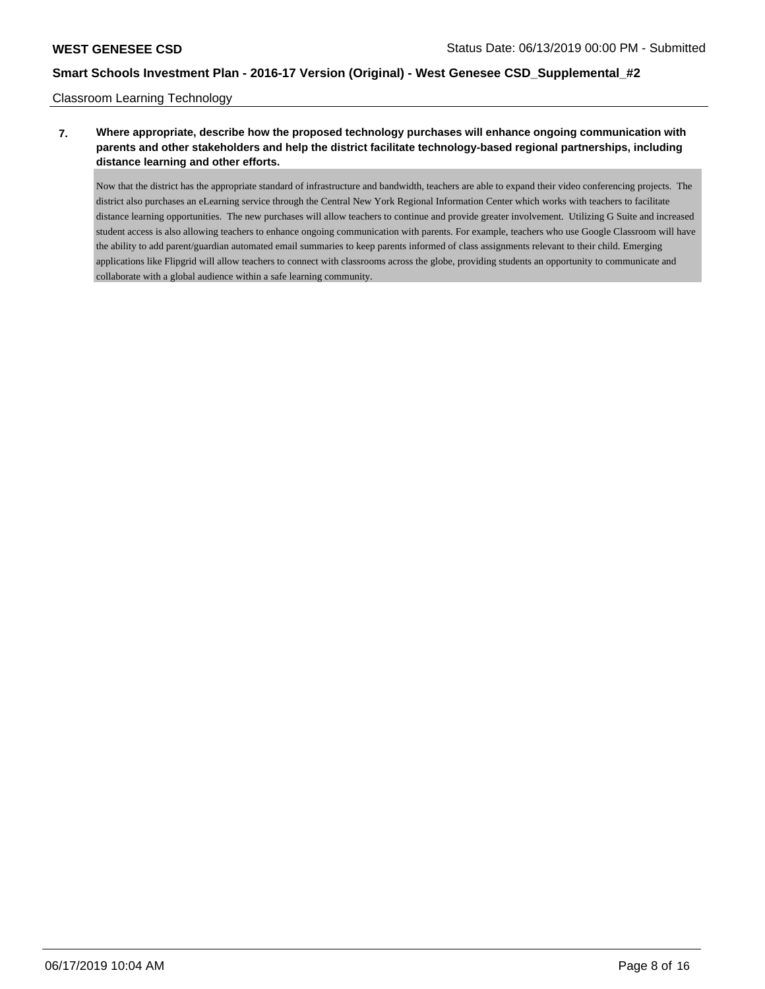## Classroom Learning Technology

## **7. Where appropriate, describe how the proposed technology purchases will enhance ongoing communication with parents and other stakeholders and help the district facilitate technology-based regional partnerships, including distance learning and other efforts.**

Now that the district has the appropriate standard of infrastructure and bandwidth, teachers are able to expand their video conferencing projects. The district also purchases an eLearning service through the Central New York Regional Information Center which works with teachers to facilitate distance learning opportunities. The new purchases will allow teachers to continue and provide greater involvement. Utilizing G Suite and increased student access is also allowing teachers to enhance ongoing communication with parents. For example, teachers who use Google Classroom will have the ability to add parent/guardian automated email summaries to keep parents informed of class assignments relevant to their child. Emerging applications like Flipgrid will allow teachers to connect with classrooms across the globe, providing students an opportunity to communicate and collaborate with a global audience within a safe learning community.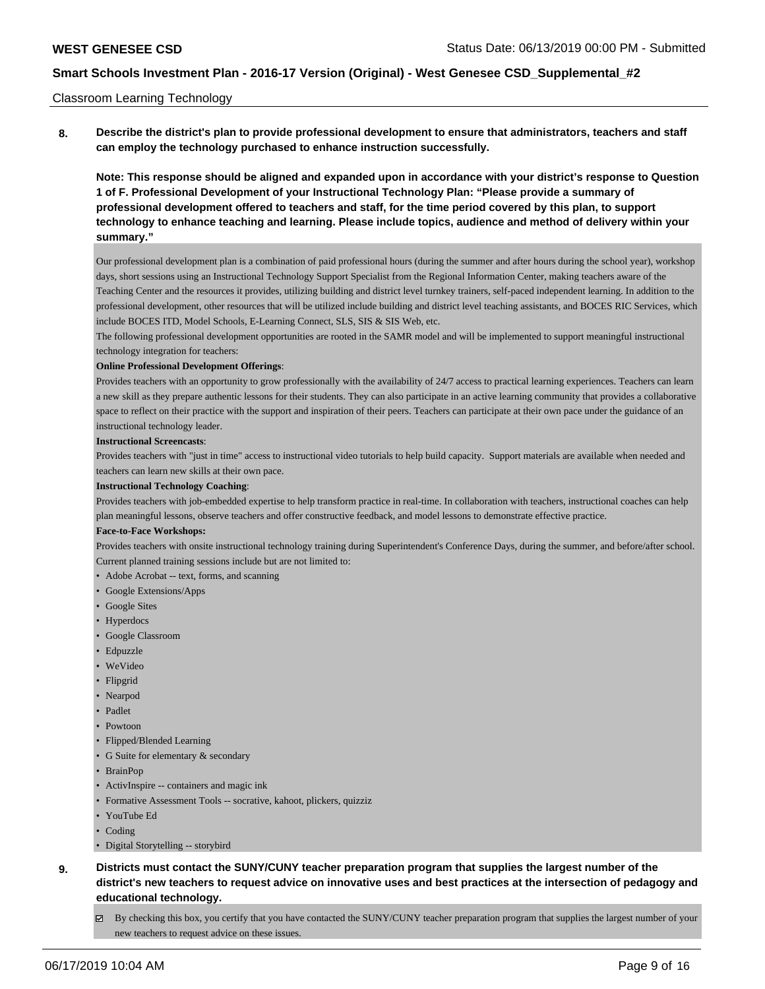### Classroom Learning Technology

**8. Describe the district's plan to provide professional development to ensure that administrators, teachers and staff can employ the technology purchased to enhance instruction successfully.**

**Note: This response should be aligned and expanded upon in accordance with your district's response to Question 1 of F. Professional Development of your Instructional Technology Plan: "Please provide a summary of professional development offered to teachers and staff, for the time period covered by this plan, to support technology to enhance teaching and learning. Please include topics, audience and method of delivery within your summary."**

Our professional development plan is a combination of paid professional hours (during the summer and after hours during the school year), workshop days, short sessions using an Instructional Technology Support Specialist from the Regional Information Center, making teachers aware of the Teaching Center and the resources it provides, utilizing building and district level turnkey trainers, self-paced independent learning. In addition to the professional development, other resources that will be utilized include building and district level teaching assistants, and BOCES RIC Services, which include BOCES ITD, Model Schools, E-Learning Connect, SLS, SIS & SIS Web, etc.

The following professional development opportunities are rooted in the SAMR model and will be implemented to support meaningful instructional technology integration for teachers:

#### **Online Professional Development Offerings**:

Provides teachers with an opportunity to grow professionally with the availability of 24/7 access to practical learning experiences. Teachers can learn a new skill as they prepare authentic lessons for their students. They can also participate in an active learning community that provides a collaborative space to reflect on their practice with the support and inspiration of their peers. Teachers can participate at their own pace under the guidance of an instructional technology leader.

#### **Instructional Screencasts**:

Provides teachers with "just in time" access to instructional video tutorials to help build capacity. Support materials are available when needed and teachers can learn new skills at their own pace.

#### **Instructional Technology Coaching**:

Provides teachers with job-embedded expertise to help transform practice in real-time. In collaboration with teachers, instructional coaches can help plan meaningful lessons, observe teachers and offer constructive feedback, and model lessons to demonstrate effective practice.

#### **Face-to-Face Workshops:**

Provides teachers with onsite instructional technology training during Superintendent's Conference Days, during the summer, and before/after school. Current planned training sessions include but are not limited to:

• Adobe Acrobat -- text, forms, and scanning

- Google Extensions/Apps
- Google Sites
- Hyperdocs
- Google Classroom
- Edpuzzle
- WeVideo
- Flipgrid
- Nearpod
- Padlet
- Powtoon
- Flipped/Blended Learning
- G Suite for elementary & secondary
- BrainPop
- ActivInspire -- containers and magic ink
- Formative Assessment Tools -- socrative, kahoot, plickers, quizziz
- YouTube Ed
- Coding
- Digital Storytelling -- storybird
- **9. Districts must contact the SUNY/CUNY teacher preparation program that supplies the largest number of the district's new teachers to request advice on innovative uses and best practices at the intersection of pedagogy and educational technology.**
	- By checking this box, you certify that you have contacted the SUNY/CUNY teacher preparation program that supplies the largest number of your new teachers to request advice on these issues.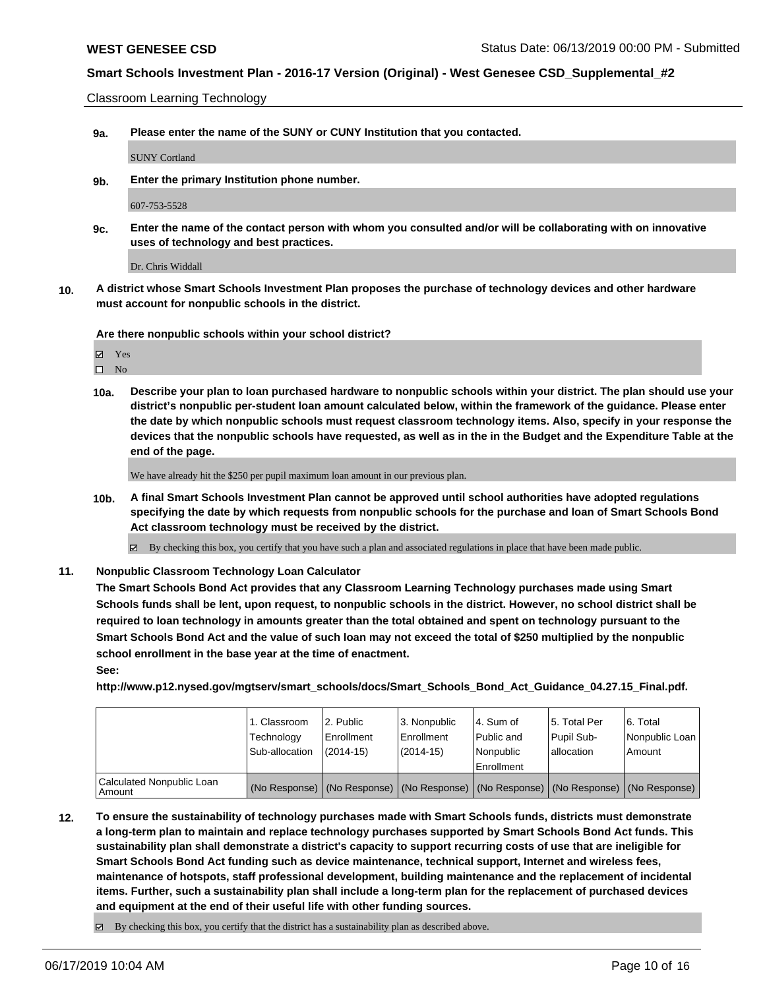Classroom Learning Technology

**9a. Please enter the name of the SUNY or CUNY Institution that you contacted.**

SUNY Cortland

**9b. Enter the primary Institution phone number.**

607-753-5528

**9c. Enter the name of the contact person with whom you consulted and/or will be collaborating with on innovative uses of technology and best practices.**

Dr. Chris Widdall

**10. A district whose Smart Schools Investment Plan proposes the purchase of technology devices and other hardware must account for nonpublic schools in the district.**

**Are there nonpublic schools within your school district?**

Yes

 $\square$  No

**10a. Describe your plan to loan purchased hardware to nonpublic schools within your district. The plan should use your district's nonpublic per-student loan amount calculated below, within the framework of the guidance. Please enter the date by which nonpublic schools must request classroom technology items. Also, specify in your response the devices that the nonpublic schools have requested, as well as in the in the Budget and the Expenditure Table at the end of the page.**

We have already hit the \$250 per pupil maximum loan amount in our previous plan.

**10b. A final Smart Schools Investment Plan cannot be approved until school authorities have adopted regulations specifying the date by which requests from nonpublic schools for the purchase and loan of Smart Schools Bond Act classroom technology must be received by the district.**

 $\boxtimes$  By checking this box, you certify that you have such a plan and associated regulations in place that have been made public.

**11. Nonpublic Classroom Technology Loan Calculator**

**The Smart Schools Bond Act provides that any Classroom Learning Technology purchases made using Smart Schools funds shall be lent, upon request, to nonpublic schools in the district. However, no school district shall be required to loan technology in amounts greater than the total obtained and spent on technology pursuant to the Smart Schools Bond Act and the value of such loan may not exceed the total of \$250 multiplied by the nonpublic school enrollment in the base year at the time of enactment.**

**See:**

**http://www.p12.nysed.gov/mgtserv/smart\_schools/docs/Smart\_Schools\_Bond\_Act\_Guidance\_04.27.15\_Final.pdf.**

|                                       | 1. Classroom<br>Technology<br>Sub-allocation | l 2. Public<br>l Enrollment<br>$(2014 - 15)$ | l 3. Nonpublic<br>Enrollment<br>(2014-15) | 4. Sum of<br>l Public and<br>l Nonpublic<br>Enrollment                                        | 15. Total Per<br>Pupil Sub-<br>allocation | 6. Total<br>Nonpublic Loan<br>Amount |
|---------------------------------------|----------------------------------------------|----------------------------------------------|-------------------------------------------|-----------------------------------------------------------------------------------------------|-------------------------------------------|--------------------------------------|
| Calculated Nonpublic Loan<br>l Amount |                                              |                                              |                                           | (No Response)   (No Response)   (No Response)   (No Response)   (No Response)   (No Response) |                                           |                                      |

**12. To ensure the sustainability of technology purchases made with Smart Schools funds, districts must demonstrate a long-term plan to maintain and replace technology purchases supported by Smart Schools Bond Act funds. This sustainability plan shall demonstrate a district's capacity to support recurring costs of use that are ineligible for Smart Schools Bond Act funding such as device maintenance, technical support, Internet and wireless fees, maintenance of hotspots, staff professional development, building maintenance and the replacement of incidental items. Further, such a sustainability plan shall include a long-term plan for the replacement of purchased devices and equipment at the end of their useful life with other funding sources.**

 $\boxtimes$  By checking this box, you certify that the district has a sustainability plan as described above.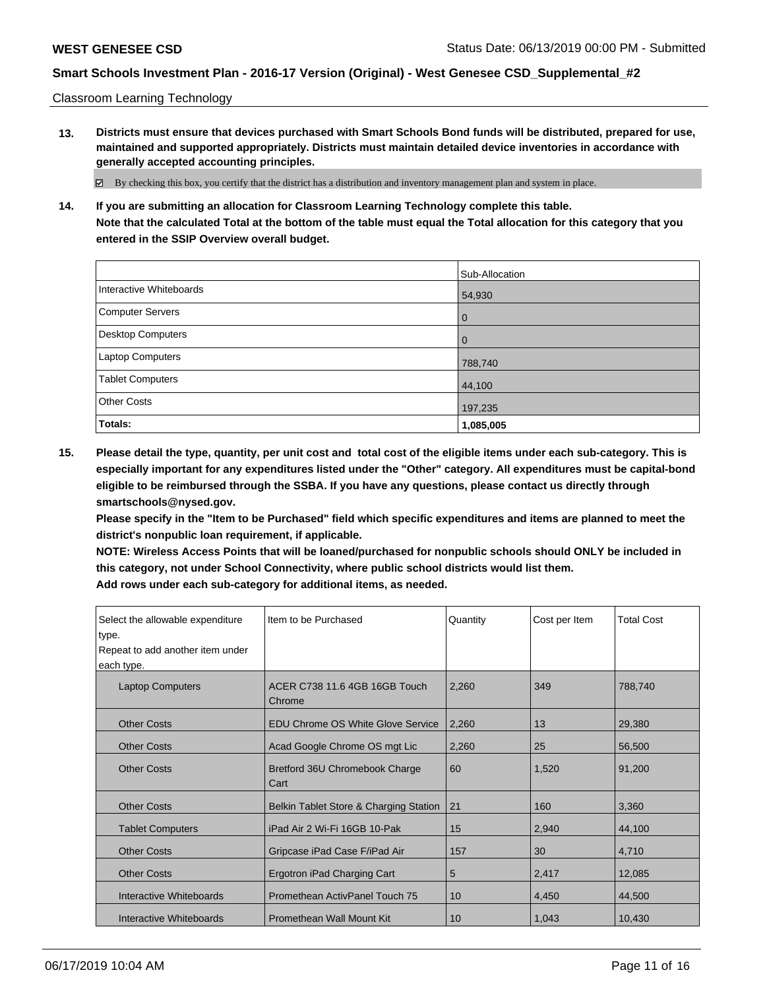Classroom Learning Technology

**13. Districts must ensure that devices purchased with Smart Schools Bond funds will be distributed, prepared for use, maintained and supported appropriately. Districts must maintain detailed device inventories in accordance with generally accepted accounting principles.**

By checking this box, you certify that the district has a distribution and inventory management plan and system in place.

**14. If you are submitting an allocation for Classroom Learning Technology complete this table. Note that the calculated Total at the bottom of the table must equal the Total allocation for this category that you entered in the SSIP Overview overall budget.**

|                          | Sub-Allocation |
|--------------------------|----------------|
| Interactive Whiteboards  | 54,930         |
| <b>Computer Servers</b>  | l 0            |
| <b>Desktop Computers</b> | l O            |
| Laptop Computers         | 788,740        |
| <b>Tablet Computers</b>  | 44,100         |
| <b>Other Costs</b>       | 197,235        |
| Totals:                  | 1,085,005      |

**15. Please detail the type, quantity, per unit cost and total cost of the eligible items under each sub-category. This is especially important for any expenditures listed under the "Other" category. All expenditures must be capital-bond eligible to be reimbursed through the SSBA. If you have any questions, please contact us directly through smartschools@nysed.gov.**

**Please specify in the "Item to be Purchased" field which specific expenditures and items are planned to meet the district's nonpublic loan requirement, if applicable.**

**NOTE: Wireless Access Points that will be loaned/purchased for nonpublic schools should ONLY be included in this category, not under School Connectivity, where public school districts would list them.**

| Select the allowable expenditure<br>type.<br>Repeat to add another item under | Item to be Purchased                     | Quantity        | Cost per Item | <b>Total Cost</b> |
|-------------------------------------------------------------------------------|------------------------------------------|-----------------|---------------|-------------------|
| each type.                                                                    |                                          |                 |               |                   |
| <b>Laptop Computers</b>                                                       | ACER C738 11.6 4GB 16GB Touch<br>Chrome  | 2,260           | 349           | 788,740           |
| <b>Other Costs</b>                                                            | <b>EDU Chrome OS White Glove Service</b> | 2,260           | 13            | 29,380            |
| <b>Other Costs</b>                                                            | Acad Google Chrome OS mgt Lic            | 2,260           | 25            | 56,500            |
| <b>Other Costs</b>                                                            | Bretford 36U Chromebook Charge<br>Cart   | 60              | 1,520         | 91,200            |
| <b>Other Costs</b>                                                            | Belkin Tablet Store & Charging Station   | 21              | 160           | 3,360             |
| <b>Tablet Computers</b>                                                       | iPad Air 2 Wi-Fi 16GB 10-Pak             | 15              | 2,940         | 44,100            |
| <b>Other Costs</b>                                                            | Gripcase iPad Case F/iPad Air            | 157             | 30            | 4,710             |
| <b>Other Costs</b>                                                            | Ergotron iPad Charging Cart              | 5               | 2,417         | 12,085            |
| Interactive Whiteboards                                                       | Promethean ActivPanel Touch 75           | 10              | 4,450         | 44,500            |
| Interactive Whiteboards                                                       | Promethean Wall Mount Kit                | 10 <sup>1</sup> | 1,043         | 10,430            |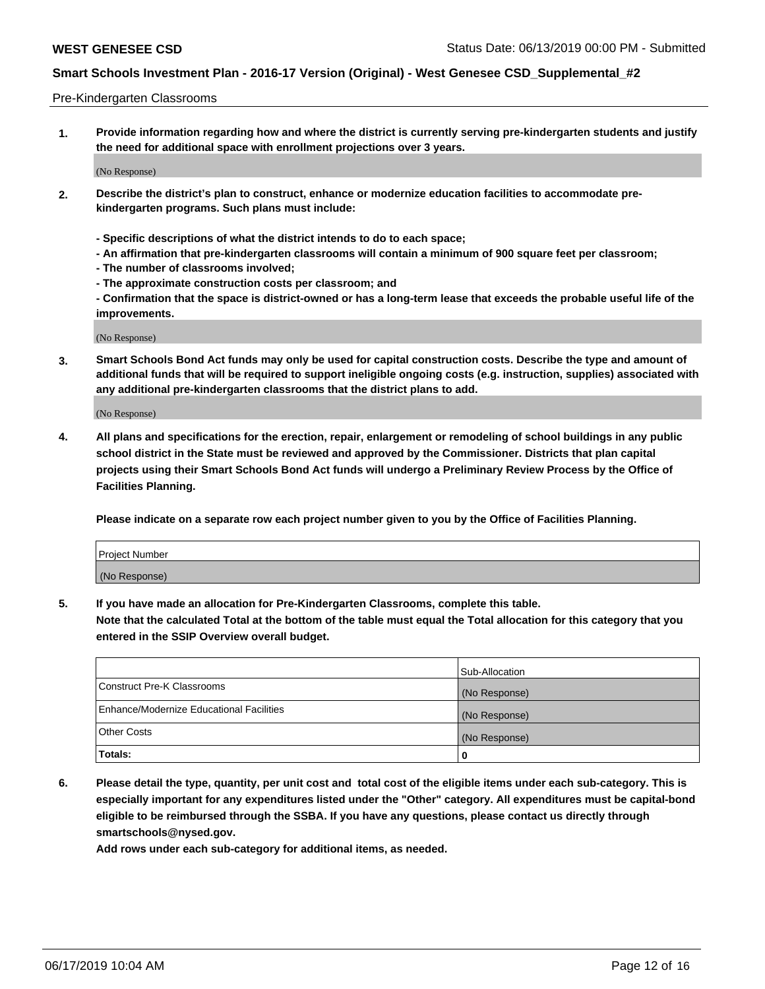### Pre-Kindergarten Classrooms

**1. Provide information regarding how and where the district is currently serving pre-kindergarten students and justify the need for additional space with enrollment projections over 3 years.**

(No Response)

- **2. Describe the district's plan to construct, enhance or modernize education facilities to accommodate prekindergarten programs. Such plans must include:**
	- **Specific descriptions of what the district intends to do to each space;**
	- **An affirmation that pre-kindergarten classrooms will contain a minimum of 900 square feet per classroom;**
	- **The number of classrooms involved;**
	- **The approximate construction costs per classroom; and**
	- **Confirmation that the space is district-owned or has a long-term lease that exceeds the probable useful life of the improvements.**

(No Response)

**3. Smart Schools Bond Act funds may only be used for capital construction costs. Describe the type and amount of additional funds that will be required to support ineligible ongoing costs (e.g. instruction, supplies) associated with any additional pre-kindergarten classrooms that the district plans to add.**

(No Response)

**4. All plans and specifications for the erection, repair, enlargement or remodeling of school buildings in any public school district in the State must be reviewed and approved by the Commissioner. Districts that plan capital projects using their Smart Schools Bond Act funds will undergo a Preliminary Review Process by the Office of Facilities Planning.**

**Please indicate on a separate row each project number given to you by the Office of Facilities Planning.**

| Project Number |  |
|----------------|--|
| (No Response)  |  |
|                |  |

**5. If you have made an allocation for Pre-Kindergarten Classrooms, complete this table.**

**Note that the calculated Total at the bottom of the table must equal the Total allocation for this category that you entered in the SSIP Overview overall budget.**

|                                          | Sub-Allocation |
|------------------------------------------|----------------|
| Construct Pre-K Classrooms               | (No Response)  |
| Enhance/Modernize Educational Facilities | (No Response)  |
| <b>Other Costs</b>                       | (No Response)  |
| Totals:                                  | 0              |

**6. Please detail the type, quantity, per unit cost and total cost of the eligible items under each sub-category. This is especially important for any expenditures listed under the "Other" category. All expenditures must be capital-bond eligible to be reimbursed through the SSBA. If you have any questions, please contact us directly through smartschools@nysed.gov.**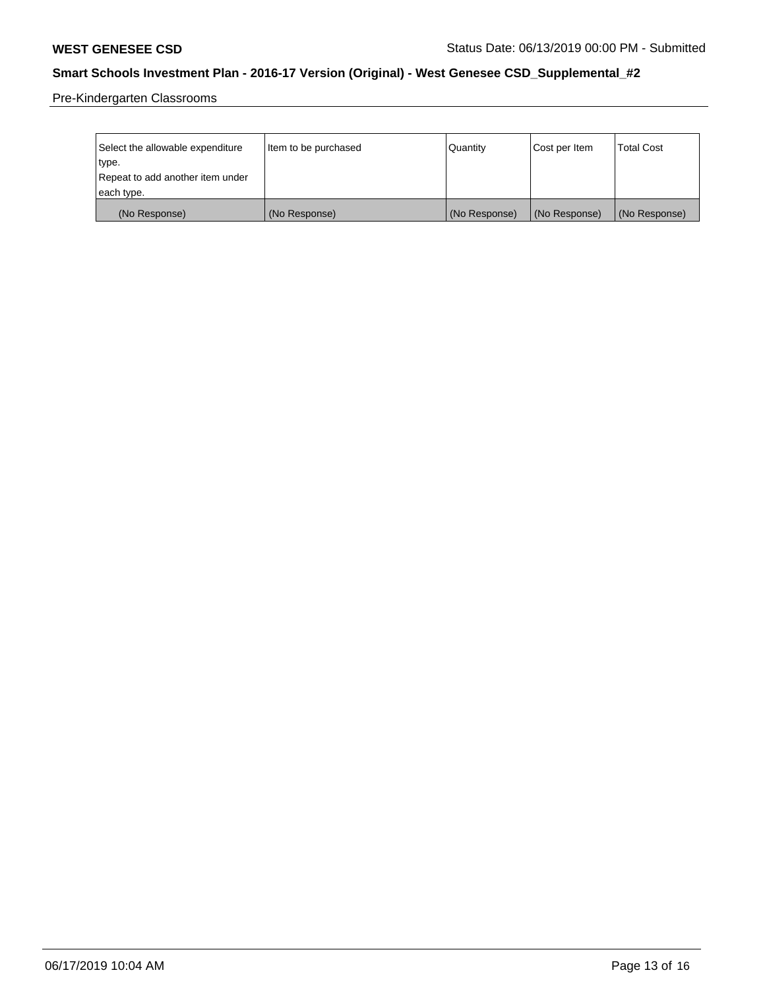Pre-Kindergarten Classrooms

| Select the allowable expenditure | Item to be purchased | Quantity      | Cost per Item | <b>Total Cost</b> |
|----------------------------------|----------------------|---------------|---------------|-------------------|
| type.                            |                      |               |               |                   |
| Repeat to add another item under |                      |               |               |                   |
| each type.                       |                      |               |               |                   |
| (No Response)                    | (No Response)        | (No Response) | (No Response) | (No Response)     |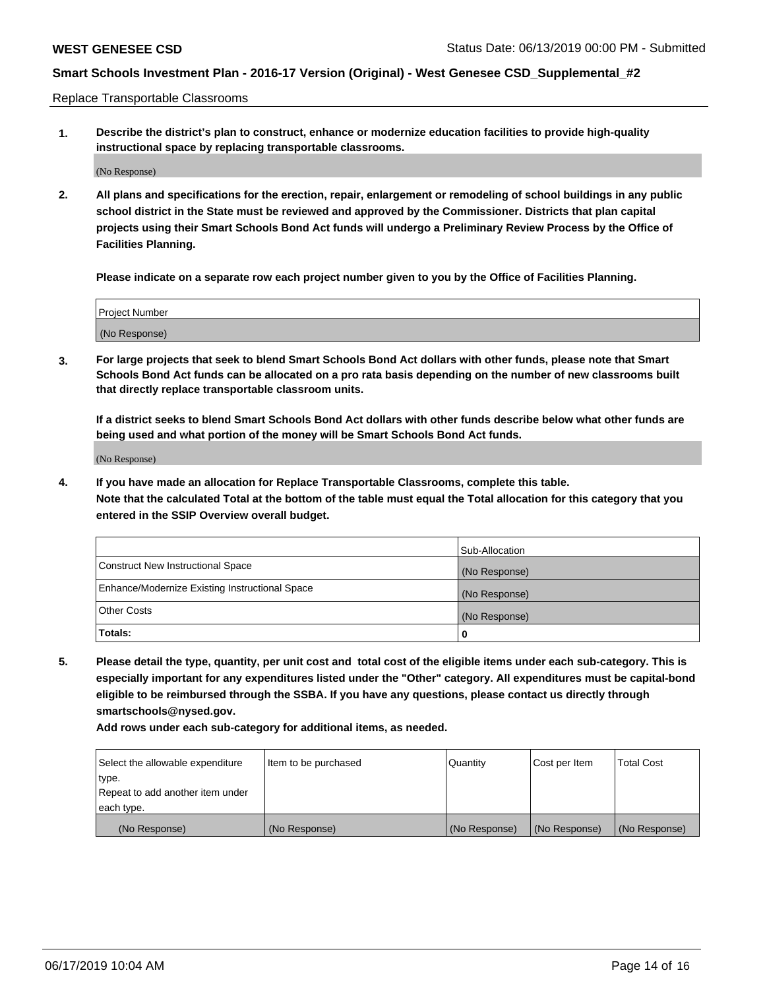Replace Transportable Classrooms

**1. Describe the district's plan to construct, enhance or modernize education facilities to provide high-quality instructional space by replacing transportable classrooms.**

(No Response)

**2. All plans and specifications for the erection, repair, enlargement or remodeling of school buildings in any public school district in the State must be reviewed and approved by the Commissioner. Districts that plan capital projects using their Smart Schools Bond Act funds will undergo a Preliminary Review Process by the Office of Facilities Planning.**

**Please indicate on a separate row each project number given to you by the Office of Facilities Planning.**

| Project Number |  |
|----------------|--|
|                |  |
|                |  |
|                |  |
|                |  |
| (No Response)  |  |
|                |  |
|                |  |
|                |  |

**3. For large projects that seek to blend Smart Schools Bond Act dollars with other funds, please note that Smart Schools Bond Act funds can be allocated on a pro rata basis depending on the number of new classrooms built that directly replace transportable classroom units.**

**If a district seeks to blend Smart Schools Bond Act dollars with other funds describe below what other funds are being used and what portion of the money will be Smart Schools Bond Act funds.**

(No Response)

**4. If you have made an allocation for Replace Transportable Classrooms, complete this table. Note that the calculated Total at the bottom of the table must equal the Total allocation for this category that you entered in the SSIP Overview overall budget.**

|                                                | Sub-Allocation |
|------------------------------------------------|----------------|
| Construct New Instructional Space              | (No Response)  |
| Enhance/Modernize Existing Instructional Space | (No Response)  |
| <b>Other Costs</b>                             | (No Response)  |
| Totals:                                        | 0              |

**5. Please detail the type, quantity, per unit cost and total cost of the eligible items under each sub-category. This is especially important for any expenditures listed under the "Other" category. All expenditures must be capital-bond eligible to be reimbursed through the SSBA. If you have any questions, please contact us directly through smartschools@nysed.gov.**

| Select the allowable expenditure | Item to be purchased | Quantity      | Cost per Item | Total Cost    |
|----------------------------------|----------------------|---------------|---------------|---------------|
| type.                            |                      |               |               |               |
| Repeat to add another item under |                      |               |               |               |
| each type.                       |                      |               |               |               |
| (No Response)                    | (No Response)        | (No Response) | (No Response) | (No Response) |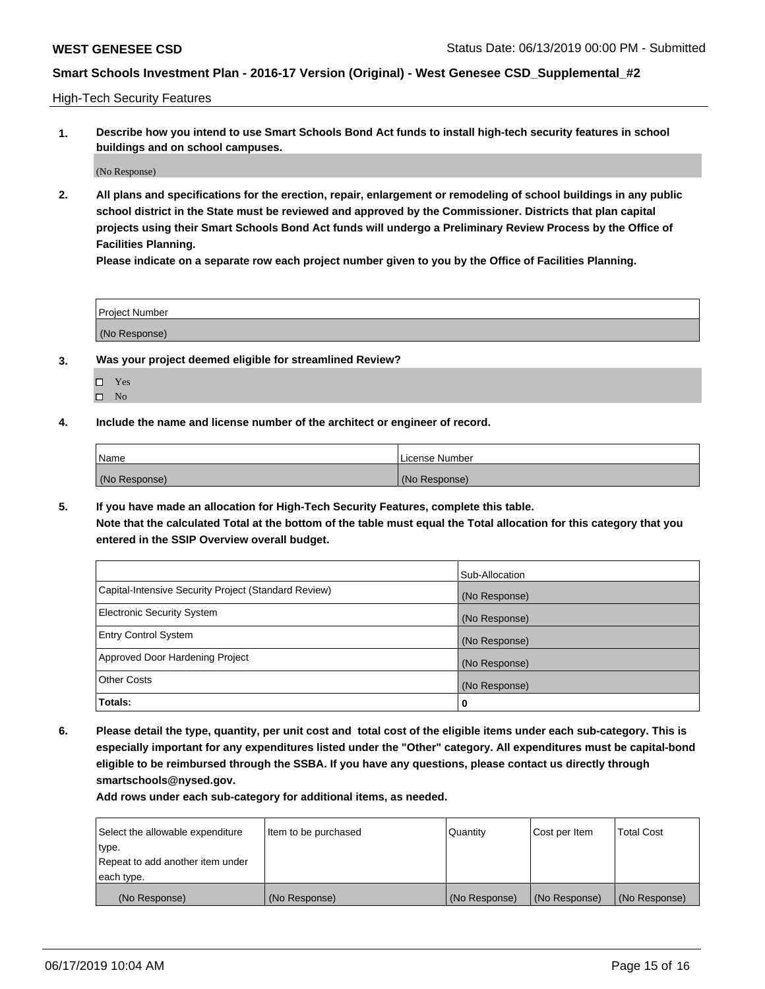High-Tech Security Features

**1. Describe how you intend to use Smart Schools Bond Act funds to install high-tech security features in school buildings and on school campuses.**

(No Response)

**2. All plans and specifications for the erection, repair, enlargement or remodeling of school buildings in any public school district in the State must be reviewed and approved by the Commissioner. Districts that plan capital projects using their Smart Schools Bond Act funds will undergo a Preliminary Review Process by the Office of Facilities Planning.** 

**Please indicate on a separate row each project number given to you by the Office of Facilities Planning.**

| <b>Project Number</b> |  |
|-----------------------|--|
| (No Response)         |  |

- **3. Was your project deemed eligible for streamlined Review?**
	- Yes  $\square$  No
- **4. Include the name and license number of the architect or engineer of record.**

| Name          | License Number |
|---------------|----------------|
| (No Response) | (No Response)  |

**5. If you have made an allocation for High-Tech Security Features, complete this table.**

**Note that the calculated Total at the bottom of the table must equal the Total allocation for this category that you entered in the SSIP Overview overall budget.**

|                                                      | Sub-Allocation |
|------------------------------------------------------|----------------|
| Capital-Intensive Security Project (Standard Review) | (No Response)  |
| <b>Electronic Security System</b>                    | (No Response)  |
| <b>Entry Control System</b>                          | (No Response)  |
| Approved Door Hardening Project                      | (No Response)  |
| <b>Other Costs</b>                                   | (No Response)  |
| Totals:                                              | 0              |

**6. Please detail the type, quantity, per unit cost and total cost of the eligible items under each sub-category. This is especially important for any expenditures listed under the "Other" category. All expenditures must be capital-bond eligible to be reimbursed through the SSBA. If you have any questions, please contact us directly through smartschools@nysed.gov.**

| Select the allowable expenditure | Item to be purchased | l Quantitv    | Cost per Item | <b>Total Cost</b> |
|----------------------------------|----------------------|---------------|---------------|-------------------|
| type.                            |                      |               |               |                   |
| Repeat to add another item under |                      |               |               |                   |
| each type.                       |                      |               |               |                   |
| (No Response)                    | (No Response)        | (No Response) | (No Response) | (No Response)     |